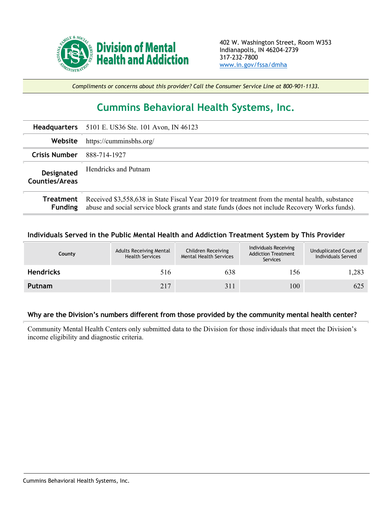

*Compliments or concerns about this provider? Call the Consumer Service Line at 800-901-1133.*

## **Cummins Behavioral Health Systems, Inc.**

|                                     | Headquarters 5101 E. US36 Ste. 101 Avon, IN 46123                                                                                                                                                |
|-------------------------------------|--------------------------------------------------------------------------------------------------------------------------------------------------------------------------------------------------|
| Website                             | https://cumminsbhs.org/                                                                                                                                                                          |
| <b>Crisis Number</b>                | 888-714-1927                                                                                                                                                                                     |
| Designated<br><b>Counties/Areas</b> | Hendricks and Putnam                                                                                                                                                                             |
| Treatment<br><b>Funding</b>         | Received \$3,558,638 in State Fiscal Year 2019 for treatment from the mental health, substance<br>abuse and social service block grants and state funds (does not include Recovery Works funds). |

## **Individuals Served in the Public Mental Health and Addiction Treatment System by This Provider**

| County           | <b>Adults Receiving Mental</b><br><b>Health Services</b> | Children Receiving<br><b>Mental Health Services</b> | Individuals Receiving<br><b>Addiction Treatment</b><br>Services | Unduplicated Count of<br>Individuals Served |
|------------------|----------------------------------------------------------|-----------------------------------------------------|-----------------------------------------------------------------|---------------------------------------------|
| <b>Hendricks</b> | 516                                                      | 638                                                 | 156                                                             | 1,283                                       |
| Putnam           | 217                                                      | 311                                                 | 100                                                             | 625                                         |

## **Why are the Division's numbers different from those provided by the community mental health center?**

Community Mental Health Centers only submitted data to the Division for those individuals that meet the Division's income eligibility and diagnostic criteria.